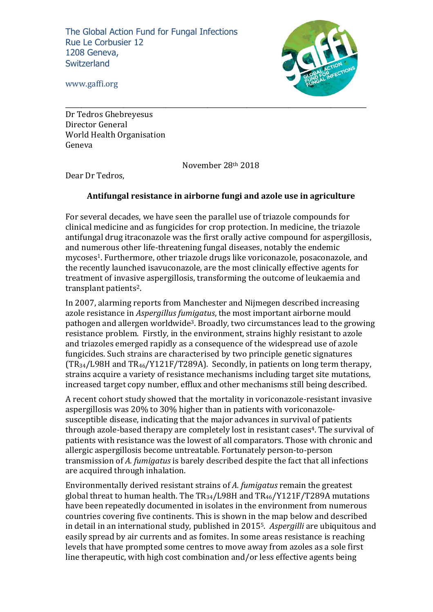The Global Action Fund for Fungal Infections Rue Le Corbusier 12 1208 Geneva, **Switzerland** 



www.gaffi.org

Dr Tedros Ghebreyesus Director General World Health Organisation Geneva

November 28th 2018

Dear Dr Tedros,

## **Antifungal resistance in airborne fungi and azole use in agriculture**

For several decades, we have seen the parallel use of triazole compounds for clinical medicine and as fungicides for crop protection. In medicine, the triazole antifungal drug itraconazole was the first orally active compound for aspergillosis, and numerous other life-threatening fungal diseases, notably the endemic mycoses<sup>1</sup>. Furthermore, other triazole drugs like voriconazole, posaconazole, and the recently launched isavuconazole, are the most clinically effective agents for treatment of invasive aspergillosis, transforming the outcome of leukaemia and transplant patients<sup>2</sup>.

In 2007, alarming reports from Manchester and Nijmegen described increasing azole resistance in *Aspergillus fumigatus*, the most important airborne mould pathogen and allergen worldwide<sup>3</sup>. Broadly, two circumstances lead to the growing resistance problem. Firstly, in the environment, strains highly resistant to azole and triazoles emerged rapidly as a consequence of the widespread use of azole fungicides. Such strains are characterised by two principle genetic signatures  $(TR_{34}/L98H$  and  $TR_{46}/Y121F/T289A$ ). Secondly, in patients on long term therapy, strains acquire a variety of resistance mechanisms including target site mutations, increased target copy number, efflux and other mechanisms still being described.

A recent cohort study showed that the mortality in voriconazole-resistant invasive aspergillosis was  $20\%$  to  $30\%$  higher than in patients with voriconazolesusceptible disease, indicating that the major advances in survival of patients through azole-based therapy are completely lost in resistant cases<sup>4</sup>. The survival of patients with resistance was the lowest of all comparators. Those with chronic and allergic aspergillosis become untreatable. Fortunately person-to-person transmission of *A. fumigatus* is barely described despite the fact that all infections are acquired through inhalation.

Environmentally derived resistant strains of A. fumigatus remain the greatest global threat to human health. The  $TR_{34}/L98H$  and  $TR_{46}/Y121F/T289A$  mutations have been repeatedly documented in isolates in the environment from numerous countries covering five continents. This is shown in the map below and described in detail in an international study, published in 2015<sup>5</sup>. *Aspergilli* are ubiquitous and easily spread by air currents and as fomites. In some areas resistance is reaching levels that have prompted some centres to move away from azoles as a sole first line therapeutic, with high cost combination and/or less effective agents being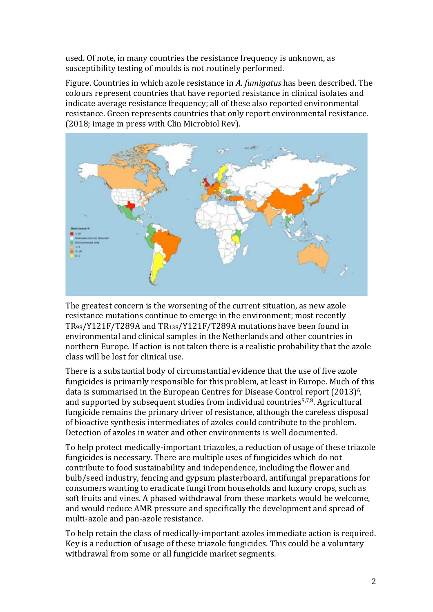used. Of note, in many countries the resistance frequency is unknown, as susceptibility testing of moulds is not routinely performed.

Figure. Countries in which azole resistance in *A. fumigatus* has been described. The colours represent countries that have reported resistance in clinical isolates and indicate average resistance frequency; all of these also reported environmental resistance. Green represents countries that only report environmental resistance.  $(2018; \text{image in press with Clin Microbiol Rev}).$ 



The greatest concern is the worsening of the current situation, as new azole resistance mutations continue to emerge in the environment: most recently  $TR_{98}/Y121F/T289A$  and  $TR_{138}/Y121F/T289A$  mutations have been found in environmental and clinical samples in the Netherlands and other countries in northern Europe. If action is not taken there is a realistic probability that the azole class will be lost for clinical use.

There is a substantial body of circumstantial evidence that the use of five azole fungicides is primarily responsible for this problem, at least in Europe. Much of this data is summarised in the European Centres for Disease Control report  $(2013)^6$ , and supported by subsequent studies from individual countries<sup>5,7,8</sup>. Agricultural fungicide remains the primary driver of resistance, although the careless disposal of bioactive synthesis intermediates of azoles could contribute to the problem. Detection of azoles in water and other environments is well documented.

To help protect medically-important triazoles, a reduction of usage of these triazole fungicides is necessary. There are multiple uses of fungicides which do not contribute to food sustainability and independence, including the flower and bulb/seed industry, fencing and gypsum plasterboard, antifungal preparations for consumers wanting to eradicate fungi from households and luxury crops, such as soft fruits and vines. A phased withdrawal from these markets would be welcome, and would reduce AMR pressure and specifically the development and spread of multi-azole and pan-azole resistance.

To help retain the class of medically-important azoles immediate action is required. Key is a reduction of usage of these triazole fungicides. This could be a voluntary withdrawal from some or all fungicide market segments.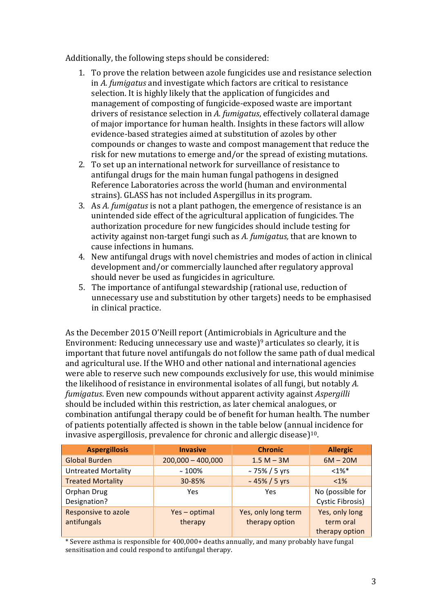Additionally, the following steps should be considered:

- 1. To prove the relation between azole fungicides use and resistance selection in *A. fumigatus* and investigate which factors are critical to resistance selection. It is highly likely that the application of fungicides and management of composting of fungicide-exposed waste are important drivers of resistance selection in A. fumigatus, effectively collateral damage of major importance for human health. Insights in these factors will allow evidence-based strategies aimed at substitution of azoles by other compounds or changes to waste and compost management that reduce the risk for new mutations to emerge and/or the spread of existing mutations.
- 2. To set up an international network for surveillance of resistance to antifungal drugs for the main human fungal pathogens in designed Reference Laboratories across the world (human and environmental strains). GLASS has not included Aspergillus in its program.
- 3. As *A. fumigatus* is not a plant pathogen, the emergence of resistance is an unintended side effect of the agricultural application of fungicides. The authorization procedure for new fungicides should include testing for activity against non-target fungi such as A. fumigatus, that are known to cause infections in humans.
- 4. New antifungal drugs with novel chemistries and modes of action in clinical development and/or commercially launched after regulatory approval should never be used as fungicides in agriculture.
- 5. The importance of antifungal stewardship (rational use, reduction of unnecessary use and substitution by other targets) needs to be emphasised in clinical practice.

As the December 2015 O'Neill report (Antimicrobials in Agriculture and the Environment: Reducing unnecessary use and waste)<sup>9</sup> articulates so clearly, it is important that future novel antifungals do not follow the same path of dual medical and agricultural use. If the WHO and other national and international agencies were able to reserve such new compounds exclusively for use, this would minimise the likelihood of resistance in environmental isolates of all fungi, but notably A. *fumigatus*. Even new compounds without apparent activity against *Aspergilli* should be included within this restriction, as later chemical analogues, or combination antifungal therapy could be of benefit for human health. The number of patients potentially affected is shown in the table below (annual incidence for invasive aspergillosis, prevalence for chronic and allergic disease)<sup>10</sup>.

| <b>Aspergillosis</b>               | <b>Invasive</b>        | <b>Chronic</b>                        | <b>Allergic</b>                               |
|------------------------------------|------------------------|---------------------------------------|-----------------------------------------------|
| <b>Global Burden</b>               | $200,000 - 400,000$    | $1.5 M - 3M$                          | $6M - 20M$                                    |
| <b>Untreated Mortality</b>         | $~100\%$               | ~75% / 5 yrs                          | $<1\%$ <sup>*</sup>                           |
| <b>Treated Mortality</b>           | 30-85%                 | ~45% / 5 yrs                          | $< 1\%$                                       |
| Orphan Drug<br>Designation?        | Yes                    | Yes                                   | No (possible for<br>Cystic Fibrosis)          |
| Responsive to azole<br>antifungals | Yes-optimal<br>therapy | Yes, only long term<br>therapy option | Yes, only long<br>term oral<br>therapy option |

\* Severe asthma is responsible for 400,000+ deaths annually, and many probably have fungal sensitisation and could respond to antifungal therapy.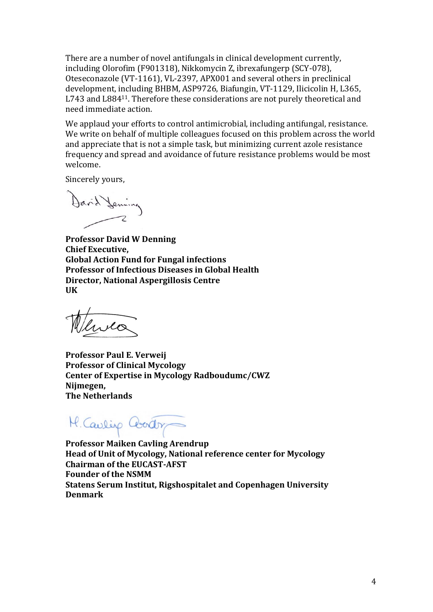There are a number of novel antifungals in clinical development currently, including Olorofim (F901318), Nikkomycin Z, ibrexafungerp (SCY-078), Oteseconazole (VT-1161), VL-2397, APX001 and several others in preclinical development, including BHBM, ASP9726, Biafungin, VT-1129, Ilicicolin H, L365, L743 and L884<sup>11</sup>. Therefore these considerations are not purely theoretical and need immediate action.

We applaud vour efforts to control antimicrobial, including antifungal, resistance. We write on behalf of multiple colleagues focused on this problem across the world and appreciate that is not a simple task, but minimizing current azole resistance frequency and spread and avoidance of future resistance problems would be most welcome.

Sincerely yours,

David Jeming

**Professor David W Denning Chief Executive. Global Action Fund for Fungal infections Professor of Infectious Diseases in Global Health Director, National Aspergillosis Centre UK**

lives

**Professor Paul E. Verweij Professor of Clinical Mycology** Center of Expertise in Mycology Radboudumc/CWZ **Nijmegen, The Netherlands**

M. Caulip Coodr

**Professor Maiken Cavling Arendrup Head of Unit of Mycology, National reference center for Mycology Chairman of the EUCAST-AFST Founder of the NSMM Statens Serum Institut, Rigshospitalet and Copenhagen University Denmark**